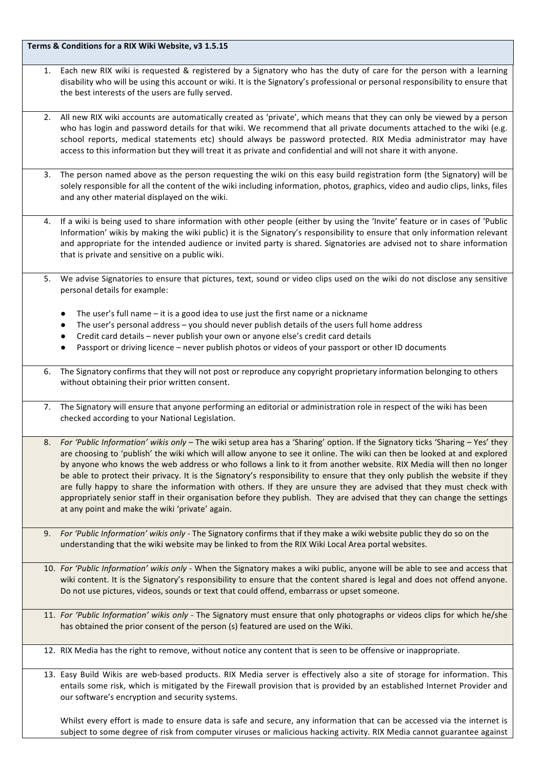Terms & Conditions for a RIX Wiki Website, v3 1.5.15

- 1. Each new RIX wiki is requested & registered by a Signatory who has the duty of care for the person with a learning disability who will be using this account or wiki. It is the Signatory's professional or personal responsibility to ensure that the best interests of the users are fully served.
- All new RIX wiki accounts are automatically created as 'private', which means that they can only be viewed by a person who has login and password details for that wiki. We recommend that all private documents attached to the wiki (e.g. school reports, medical statements etc) should always be password protected. RIX Media administrator may have access to this information but they will treat it as private and confidential and will not share it with anyone.
- 3. The person named above as the person requesting the wiki on this easy build registration form (the Signatory) will be solely responsible for all the content of the wiki including information, photos, graphics, video and audio clips, links, files and any other material displayed on the wiki.
- 4. If a wiki is being used to share information with other people (either by using the 'Invite' feature or in cases of 'Public Information' wikis by making the wiki public) it is the Signatory's responsibility to ensure that only information relevant and appropriate for the intended audience or invited party is shared. Signatories are advised not to share information that is private and sensitive on a public wiki.
- 5. We advise Signatories to ensure that pictures, text, sound or video clips used on the wiki do not disclose any sensitive personal details for example:
	- The user's full name  $-$  it is a good idea to use just the first name or a nickname
	- The user's personal address you should never publish details of the users full home address
	- Credit card details never publish your own or anyone else's credit card details
	- Passport or driving licence never publish photos or videos of your passport or other ID documents
- 6. The Signatory confirms that they will not post or reproduce any copyright proprietary information belonging to others without obtaining their prior written consent.
- 7. The Signatory will ensure that anyone performing an editorial or administration role in respect of the wiki has been checked according to your National Legislation.
- 8. *For 'Public Information' wikis only* The wiki setup area has a 'Sharing' option. If the Signatory ticks 'Sharing Yes' they are choosing to 'publish' the wiki which will allow anyone to see it online. The wiki can then be looked at and explored by anyone who knows the web address or who follows a link to it from another website. RIX Media will then no longer be able to protect their privacy. It is the Signatory's responsibility to ensure that they only publish the website if they are fully happy to share the information with others. If they are unsure they are advised that they must check with appropriately senior staff in their organisation before they publish. They are advised that they can change the settings at any point and make the wiki 'private' again.
- 9. *For 'Public Information' wikis only* The Signatory confirms that if they make a wiki website public they do so on the understanding that the wiki website may be linked to from the RIX Wiki Local Area portal websites.
- 10. *For 'Public Information' wikis only* When the Signatory makes a wiki public, anyone will be able to see and access that wiki content. It is the Signatory's responsibility to ensure that the content shared is legal and does not offend anyone. Do not use pictures, videos, sounds or text that could offend, embarrass or upset someone.
- 11. *For 'Public Information'* wikis only The Signatory must ensure that only photographs or videos clips for which he/she has obtained the prior consent of the person (s) featured are used on the Wiki.
- 12. RIX Media has the right to remove, without notice any content that is seen to be offensive or inappropriate.
- 13. Easy Build Wikis are web-based products. RIX Media server is effectively also a site of storage for information. This entails some risk, which is mitigated by the Firewall provision that is provided by an established Internet Provider and our software's encryption and security systems.

Whilst every effort is made to ensure data is safe and secure, any information that can be accessed via the internet is subject to some degree of risk from computer viruses or malicious hacking activity. RIX Media cannot guarantee against